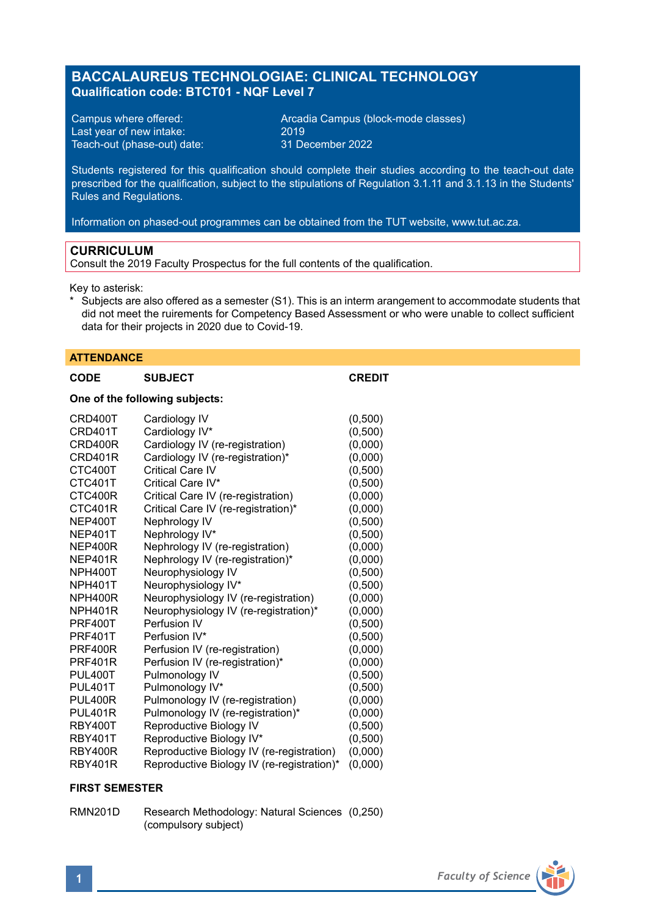# **BACCALAUREUS TECHNOLOGIAE: CLINICAL TECHNOLOGY Qualification code: BTCT01 - NQF Level 7**

Last year of new intake: 2019 Teach-out (phase-out) date:

Campus where offered: <br>
Last vear of new intake: 2019 2019<br>
2019 2019

Students registered for this qualification should complete their studies according to the teach-out date prescribed for the qualification, subject to the stipulations of Regulation 3.1.11 and 3.1.13 in the Students' Rules and Regulations.

Information on phased-out programmes can be obtained from the TUT website, www.tut.ac.za.

#### **CURRICULUM**

Consult the 2019 Faculty Prospectus for the full contents of the qualification.

Key to asterisk:

\* Subjects are also offered as a semester (S1). This is an interm arangement to accommodate students that did not meet the ruirements for Competency Based Assessment or who were unable to collect sufficient data for their projects in 2020 due to Covid-19.

#### **ATTENDANCE**

| <b>CODE</b>                    | <b>SUBJECT</b>                            | <b>CREDIT</b> |  |
|--------------------------------|-------------------------------------------|---------------|--|
| One of the following subjects: |                                           |               |  |
| CRD400T                        | Cardiology IV                             | (0,500)       |  |
| CRD401T                        | Cardiology IV*                            | (0,500)       |  |
| CRD400R                        | Cardiology IV (re-registration)           | (0,000)       |  |
| CRD401R                        | Cardiology IV (re-registration)*          | (0,000)       |  |
| CTC400T                        | Critical Care IV                          | (0,500)       |  |
| CTC401T                        | Critical Care IV*                         | (0,500)       |  |
| CTC400R                        | Critical Care IV (re-registration)        | (0,000)       |  |
| CTC401R                        | Critical Care IV (re-registration)*       | (0,000)       |  |
| NEP400T                        | Nephrology IV                             | (0,500)       |  |
| NEP401T                        | Nephrology IV*                            | (0,500)       |  |
| NEP400R                        | Nephrology IV (re-registration)           | (0,000)       |  |
| NEP401R                        | Nephrology IV (re-registration)*          | (0,000)       |  |
| NPH400T                        | Neurophysiology IV                        | (0,500)       |  |
| NPH401T                        | Neurophysiology IV*                       | (0,500)       |  |
| NPH400R                        | Neurophysiology IV (re-registration)      | (0,000)       |  |
| NPH401R                        | Neurophysiology IV (re-registration)*     | (0,000)       |  |
| <b>PRF400T</b>                 | Perfusion IV                              | (0,500)       |  |
| <b>PRF401T</b>                 | Perfusion IV*                             | (0,500)       |  |
| <b>PRF400R</b>                 | Perfusion IV (re-registration)            | (0,000)       |  |
| <b>PRF401R</b>                 | Perfusion IV (re-registration)*           | (0,000)       |  |
| PUL400T                        | Pulmonology IV                            | (0,500)       |  |
| <b>PUL401T</b>                 | Pulmonology IV*                           | (0,500)       |  |
| <b>PUL400R</b>                 | Pulmonology IV (re-registration)          | (0,000)       |  |
| <b>PUL401R</b>                 | Pulmonology IV (re-registration)*         | (0,000)       |  |
| RBY400T                        | Reproductive Biology IV                   | (0,500)       |  |
| <b>RBY401T</b>                 | Reproductive Biology IV*                  | (0,500)       |  |
| RRY400R                        | Reproductive Biology IV (re-registration) | (0.000)       |  |

#### RBY400R Reproductive Biology IV (re-registration)<br>RBY401R Reproductive Biology IV (re-registration)' Reproductive Biology IV (re-registration)\* (0,000)

#### **FIRST SEMESTER**

RMN201D Research Methodology: Natural Sciences (0,250) (compulsory subject)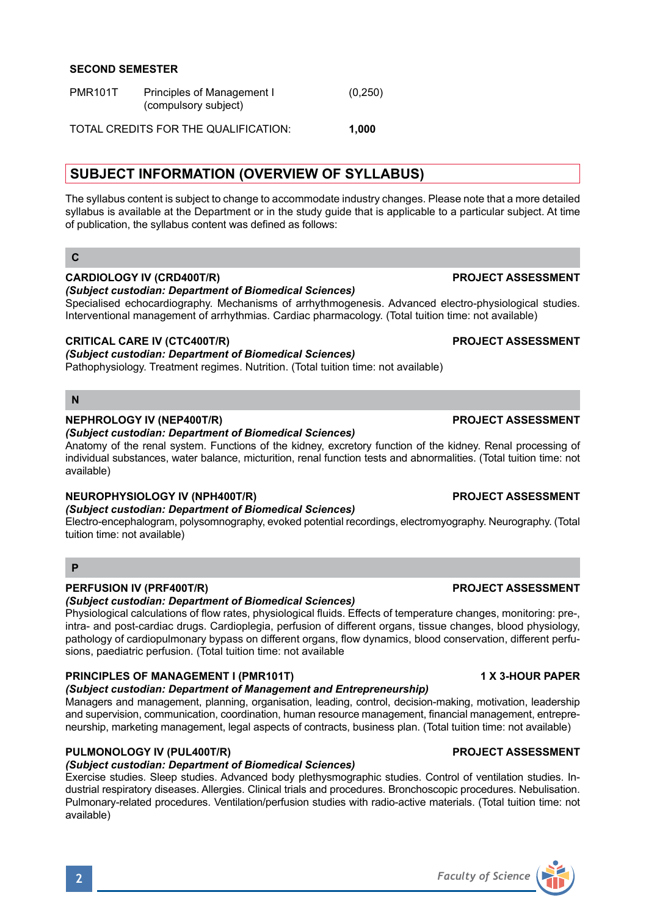**SECOND SEMESTER**

| <b>PMR101T</b> | Principles of Management I | (0,250) |
|----------------|----------------------------|---------|
|                | (compulsory subject)       |         |
|                |                            |         |

TOTAL CREDITS FOR THE QUALIFICATION: **1,000**

# **SUBJECT INFORMATION (OVERVIEW OF SYLLABUS)**

The syllabus content is subject to change to accommodate industry changes. Please note that a more detailed syllabus is available at the Department or in the study guide that is applicable to a particular subject. At time of publication, the syllabus content was defined as follows:

# **C**

### **CARDIOLOGY IV (CRD400T/R) PROJECT ASSESSMENT**

*(Subject custodian: Department of Biomedical Sciences)*

Specialised echocardiography. Mechanisms of arrhythmogenesis. Advanced electro-physiological studies. Interventional management of arrhythmias. Cardiac pharmacology. (Total tuition time: not available)

## **CRITICAL CARE IV (CTC400T/R) PROJECT ASSESSMENT**

### *(Subject custodian: Department of Biomedical Sciences)*

Pathophysiology. Treatment regimes. Nutrition. (Total tuition time: not available)

### **N**

### **NEPHROLOGY IV (NEP400T/R) PROJECT ASSESSMENT**

### *(Subject custodian: Department of Biomedical Sciences)*

Anatomy of the renal system. Functions of the kidney, excretory function of the kidney. Renal processing of individual substances, water balance, micturition, renal function tests and abnormalities. (Total tuition time: not available)

# **NEUROPHYSIOLOGY IV (NPH400T/R) PROJECT ASSESSMENT**

# *(Subject custodian: Department of Biomedical Sciences)*

Electro-encephalogram, polysomnography, evoked potential recordings, electromyography. Neurography. (Total tuition time: not available)

### **P**

# **PERFUSION IV (PRF400T/R) PROJECT ASSESSMENT**

*(Subject custodian: Department of Biomedical Sciences)*

Physiological calculations of flow rates, physiological fluids. Effects of temperature changes, monitoring: pre-, intra- and post-cardiac drugs. Cardioplegia, perfusion of different organs, tissue changes, blood physiology, pathology of cardiopulmonary bypass on different organs, flow dynamics, blood conservation, different perfusions, paediatric perfusion. (Total tuition time: not available

## **PRINCIPLES OF MANAGEMENT I (PMR101T) 1 X 3-HOUR PAPER**

# *(Subject custodian: Department of Management and Entrepreneurship)*

Managers and management, planning, organisation, leading, control, decision-making, motivation, leadership and supervision, communication, coordination, human resource management, financial management, entrepreneurship, marketing management, legal aspects of contracts, business plan. (Total tuition time: not available)

# **PULMONOLOGY IV (PUL400T/R) PROJECT ASSESSMENT**

# *(Subject custodian: Department of Biomedical Sciences)*

Exercise studies. Sleep studies. Advanced body plethysmographic studies. Control of ventilation studies. Industrial respiratory diseases. Allergies. Clinical trials and procedures. Bronchoscopic procedures. Nebulisation. Pulmonary-related procedures. Ventilation/perfusion studies with radio-active materials. (Total tuition time: not available)